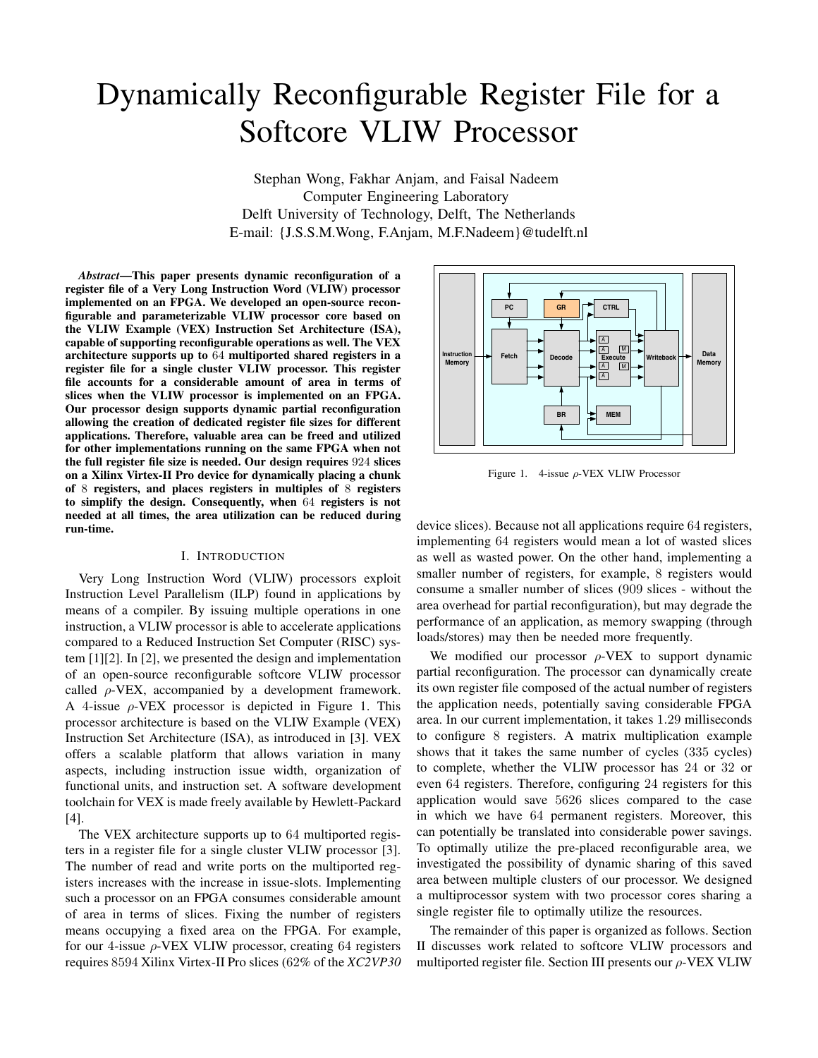# Dynamically Reconfigurable Register File for a Softcore VLIW Processor

Stephan Wong, Fakhar Anjam, and Faisal Nadeem Computer Engineering Laboratory Delft University of Technology, Delft, The Netherlands E-mail: {J.S.S.M.Wong, F.Anjam, M.F.Nadeem}@tudelft.nl

*Abstract***—This paper presents dynamic reconfiguration of a register file of a Very Long Instruction Word (VLIW) processor implemented on an FPGA. We developed an open-source reconfigurable and parameterizable VLIW processor core based on the VLIW Example (VEX) Instruction Set Architecture (ISA), capable of supporting reconfigurable operations as well. The VEX architecture supports up to** 64 **multiported shared registers in a register file for a single cluster VLIW processor. This register file accounts for a considerable amount of area in terms of slices when the VLIW processor is implemented on an FPGA. Our processor design supports dynamic partial reconfiguration allowing the creation of dedicated register file sizes for different applications. Therefore, valuable area can be freed and utilized for other implementations running on the same FPGA when not the full register file size is needed. Our design requires** 924 **slices on a Xilinx Virtex-II Pro device for dynamically placing a chunk of** 8 **registers, and places registers in multiples of** 8 **registers to simplify the design. Consequently, when** 64 **registers is not needed at all times, the area utilization can be reduced during run-time.**

#### I. INTRODUCTION

Very Long Instruction Word (VLIW) processors exploit Instruction Level Parallelism (ILP) found in applications by means of a compiler. By issuing multiple operations in one instruction, a VLIW processor is able to accelerate applications compared to a Reduced Instruction Set Computer (RISC) system [1][2]. In [2], we presented the design and implementation of an open-source reconfigurable softcore VLIW processor called  $\rho$ -VEX, accompanied by a development framework. A 4-issue  $\rho$ -VEX processor is depicted in Figure 1. This processor architecture is based on the VLIW Example (VEX) Instruction Set Architecture (ISA), as introduced in [3]. VEX offers a scalable platform that allows variation in many aspects, including instruction issue width, organization of functional units, and instruction set. A software development toolchain for VEX is made freely available by Hewlett-Packard [4].

The VEX architecture supports up to 64 multiported registers in a register file for a single cluster VLIW processor [3]. The number of read and write ports on the multiported registers increases with the increase in issue-slots. Implementing such a processor on an FPGA consumes considerable amount of area in terms of slices. Fixing the number of registers means occupying a fixed area on the FPGA. For example, for our 4-issue  $\rho$ -VEX VLIW processor, creating 64 registers requires 8594 Xilinx Virtex-II Pro slices (62% of the *XC2VP30*



Figure 1. 4-issue  $\rho$ -VEX VLIW Processor

device slices). Because not all applications require 64 registers, implementing 64 registers would mean a lot of wasted slices as well as wasted power. On the other hand, implementing a smaller number of registers, for example, 8 registers would consume a smaller number of slices (909 slices - without the area overhead for partial reconfiguration), but may degrade the performance of an application, as memory swapping (through loads/stores) may then be needed more frequently.

We modified our processor  $\rho$ -VEX to support dynamic partial reconfiguration. The processor can dynamically create its own register file composed of the actual number of registers the application needs, potentially saving considerable FPGA area. In our current implementation, it takes 1.29 milliseconds to configure 8 registers. A matrix multiplication example shows that it takes the same number of cycles (335 cycles) to complete, whether the VLIW processor has 24 or 32 or even 64 registers. Therefore, configuring 24 registers for this application would save 5626 slices compared to the case in which we have 64 permanent registers. Moreover, this can potentially be translated into considerable power savings. To optimally utilize the pre-placed reconfigurable area, we investigated the possibility of dynamic sharing of this saved area between multiple clusters of our processor. We designed a multiprocessor system with two processor cores sharing a single register file to optimally utilize the resources.

The remainder of this paper is organized as follows. Section II discusses work related to softcore VLIW processors and multiported register file. Section III presents our  $\rho$ -VEX VLIW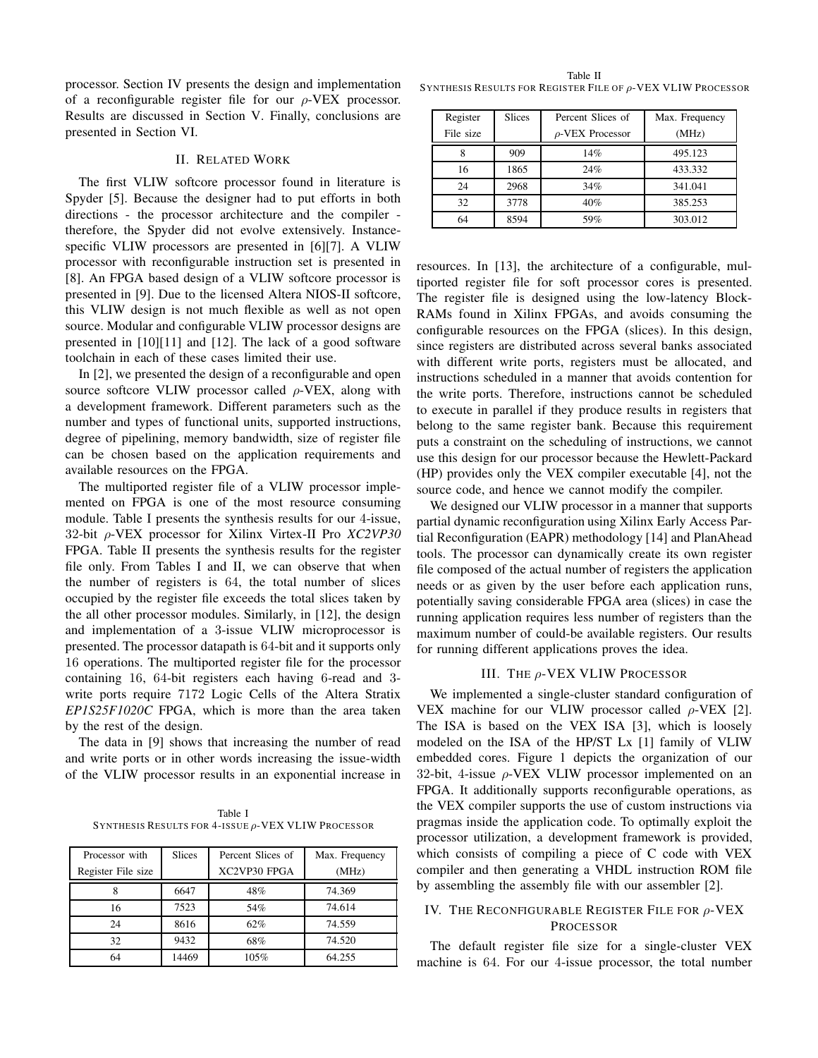processor. Section IV presents the design and implementation of a reconfigurable register file for our  $\rho$ -VEX processor. Results are discussed in Section V. Finally, conclusions are presented in Section VI.

#### II. RELATED WORK

The first VLIW softcore processor found in literature is Spyder [5]. Because the designer had to put efforts in both directions - the processor architecture and the compiler therefore, the Spyder did not evolve extensively. Instancespecific VLIW processors are presented in [6][7]. A VLIW processor with reconfigurable instruction set is presented in [8]. An FPGA based design of a VLIW softcore processor is presented in [9]. Due to the licensed Altera NIOS-II softcore, this VLIW design is not much flexible as well as not open source. Modular and configurable VLIW processor designs are presented in [10][11] and [12]. The lack of a good software toolchain in each of these cases limited their use.

In [2], we presented the design of a reconfigurable and open source softcore VLIW processor called  $\rho$ -VEX, along with a development framework. Different parameters such as the number and types of functional units, supported instructions, degree of pipelining, memory bandwidth, size of register file can be chosen based on the application requirements and available resources on the FPGA.

The multiported register file of a VLIW processor implemented on FPGA is one of the most resource consuming module. Table I presents the synthesis results for our 4-issue, 32-bit ρ-VEX processor for Xilinx Virtex-II Pro *XC2VP30* FPGA. Table II presents the synthesis results for the register file only. From Tables I and II, we can observe that when the number of registers is 64, the total number of slices occupied by the register file exceeds the total slices taken by the all other processor modules. Similarly, in [12], the design and implementation of a 3-issue VLIW microprocessor is presented. The processor datapath is 64-bit and it supports only 16 operations. The multiported register file for the processor containing 16, 64-bit registers each having 6-read and 3 write ports require 7172 Logic Cells of the Altera Stratix *EP1S25F1020C* FPGA, which is more than the area taken by the rest of the design.

The data in [9] shows that increasing the number of read and write ports or in other words increasing the issue-width of the VLIW processor results in an exponential increase in

Table I SYNTHESIS RESULTS FOR 4-ISSUE ρ-VEX VLIW PROCESSOR

| Processor with     | <b>Slices</b> | Percent Slices of | Max. Frequency |
|--------------------|---------------|-------------------|----------------|
| Register File size |               | XC2VP30 FPGA      | (MHz)          |
| ð                  | 6647          | 48%               | 74.369         |
| 16                 | 7523          | 54%               | 74.614         |
| 24                 | 8616          | 62%               | 74.559         |
| 32                 | 9432          | 68%               | 74.520         |
| 64                 | 14469         | 105%              | 64.255         |

Table II SYNTHESIS RESULTS FOR REGISTER FILE OF ρ-VEX VLIW PROCESSOR

| Register  | <b>Slices</b> | Percent Slices of     | Max. Frequency |
|-----------|---------------|-----------------------|----------------|
| File size |               | $\rho$ -VEX Processor | (MHz)          |
|           | 909           | 14%                   | 495.123        |
| 16        | 1865          | 24%                   | 433.332        |
| 24        | 2968          | 34%                   | 341.041        |
| 32        | 3778          | 40%                   | 385.253        |
| 64        | 8594          | 59%                   | 303.012        |

resources. In [13], the architecture of a configurable, multiported register file for soft processor cores is presented. The register file is designed using the low-latency Block-RAMs found in Xilinx FPGAs, and avoids consuming the configurable resources on the FPGA (slices). In this design, since registers are distributed across several banks associated with different write ports, registers must be allocated, and instructions scheduled in a manner that avoids contention for the write ports. Therefore, instructions cannot be scheduled to execute in parallel if they produce results in registers that belong to the same register bank. Because this requirement puts a constraint on the scheduling of instructions, we cannot use this design for our processor because the Hewlett-Packard (HP) provides only the VEX compiler executable [4], not the source code, and hence we cannot modify the compiler.

We designed our VLIW processor in a manner that supports partial dynamic reconfiguration using Xilinx Early Access Partial Reconfiguration (EAPR) methodology [14] and PlanAhead tools. The processor can dynamically create its own register file composed of the actual number of registers the application needs or as given by the user before each application runs, potentially saving considerable FPGA area (slices) in case the running application requires less number of registers than the maximum number of could-be available registers. Our results for running different applications proves the idea.

#### III. THE  $\rho$ -VEX VLIW PROCESSOR

We implemented a single-cluster standard configuration of VEX machine for our VLIW processor called  $\rho$ -VEX [2]. The ISA is based on the VEX ISA [3], which is loosely modeled on the ISA of the HP/ST Lx [1] family of VLIW embedded cores. Figure 1 depicts the organization of our 32-bit, 4-issue  $\rho$ -VEX VLIW processor implemented on an FPGA. It additionally supports reconfigurable operations, as the VEX compiler supports the use of custom instructions via pragmas inside the application code. To optimally exploit the processor utilization, a development framework is provided, which consists of compiling a piece of C code with VEX compiler and then generating a VHDL instruction ROM file by assembling the assembly file with our assembler [2].

## IV. THE RECONFIGURABLE REGISTER FILE FOR  $\rho$ -VEX PROCESSOR

The default register file size for a single-cluster VEX machine is 64. For our 4-issue processor, the total number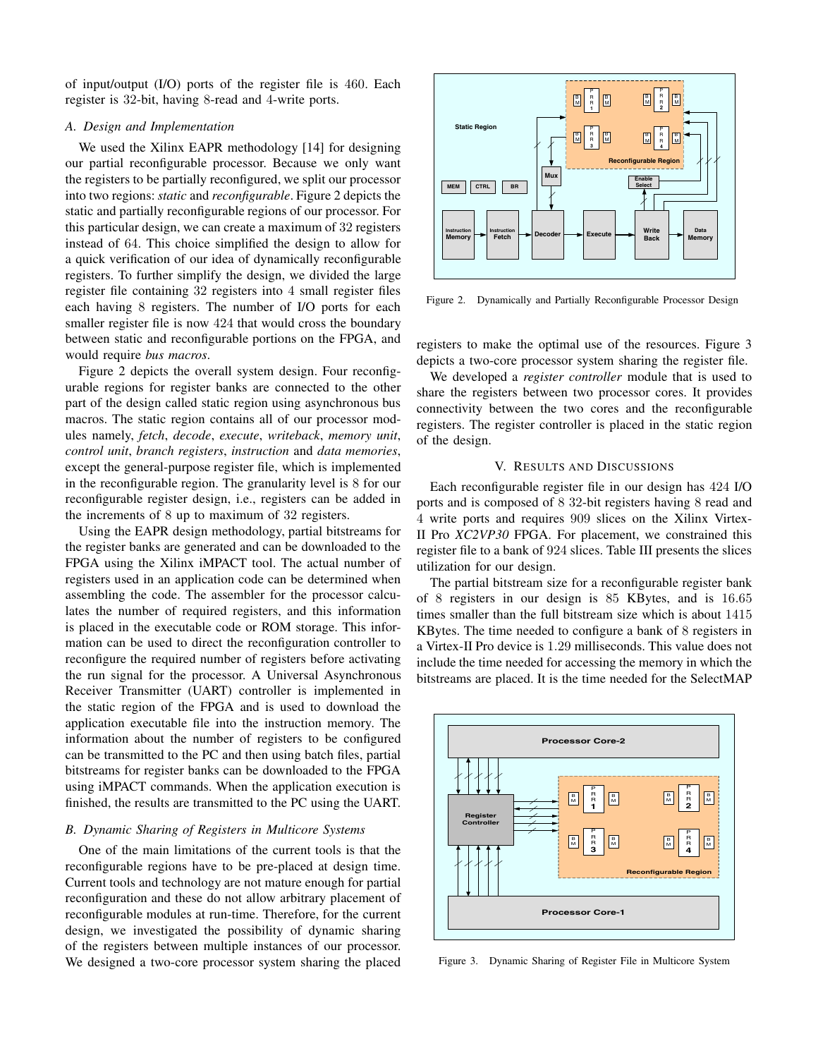of input/output (I/O) ports of the register file is 460. Each register is 32-bit, having 8-read and 4-write ports.

#### *A. Design and Implementation*

We used the Xilinx EAPR methodology [14] for designing our partial reconfigurable processor. Because we only want the registers to be partially reconfigured, we split our processor into two regions: *static* and *reconfigurable*. Figure 2 depicts the static and partially reconfigurable regions of our processor. For this particular design, we can create a maximum of 32 registers instead of 64. This choice simplified the design to allow for a quick verification of our idea of dynamically reconfigurable registers. To further simplify the design, we divided the large register file containing 32 registers into 4 small register files each having 8 registers. The number of I/O ports for each smaller register file is now 424 that would cross the boundary between static and reconfigurable portions on the FPGA, and would require *bus macros*.

Figure 2 depicts the overall system design. Four reconfigurable regions for register banks are connected to the other part of the design called static region using asynchronous bus macros. The static region contains all of our processor modules namely, *fetch*, *decode*, *execute*, *writeback*, *memory unit*, *control unit*, *branch registers*, *instruction* and *data memories*, except the general-purpose register file, which is implemented in the reconfigurable region. The granularity level is 8 for our reconfigurable register design, i.e., registers can be added in the increments of 8 up to maximum of 32 registers.

Using the EAPR design methodology, partial bitstreams for the register banks are generated and can be downloaded to the FPGA using the Xilinx iMPACT tool. The actual number of registers used in an application code can be determined when assembling the code. The assembler for the processor calculates the number of required registers, and this information is placed in the executable code or ROM storage. This information can be used to direct the reconfiguration controller to reconfigure the required number of registers before activating the run signal for the processor. A Universal Asynchronous Receiver Transmitter (UART) controller is implemented in the static region of the FPGA and is used to download the application executable file into the instruction memory. The information about the number of registers to be configured can be transmitted to the PC and then using batch files, partial bitstreams for register banks can be downloaded to the FPGA using iMPACT commands. When the application execution is finished, the results are transmitted to the PC using the UART.

### *B. Dynamic Sharing of Registers in Multicore Systems*

One of the main limitations of the current tools is that the reconfigurable regions have to be pre-placed at design time. Current tools and technology are not mature enough for partial reconfiguration and these do not allow arbitrary placement of reconfigurable modules at run-time. Therefore, for the current design, we investigated the possibility of dynamic sharing of the registers between multiple instances of our processor. We designed a two-core processor system sharing the placed



Figure 2. Dynamically and Partially Reconfigurable Processor Design

registers to make the optimal use of the resources. Figure 3 depicts a two-core processor system sharing the register file.

We developed a *register controller* module that is used to share the registers between two processor cores. It provides connectivity between the two cores and the reconfigurable registers. The register controller is placed in the static region of the design.

#### V. RESULTS AND DISCUSSIONS

Each reconfigurable register file in our design has 424 I/O ports and is composed of 8 32-bit registers having 8 read and 4 write ports and requires 909 slices on the Xilinx Virtex-II Pro *XC2VP30* FPGA. For placement, we constrained this register file to a bank of 924 slices. Table III presents the slices utilization for our design.

The partial bitstream size for a reconfigurable register bank of 8 registers in our design is 85 KBytes, and is 16.65 times smaller than the full bitstream size which is about 1415 KBytes. The time needed to configure a bank of 8 registers in a Virtex-II Pro device is 1.29 milliseconds. This value does not include the time needed for accessing the memory in which the bitstreams are placed. It is the time needed for the SelectMAP



Figure 3. Dynamic Sharing of Register File in Multicore System